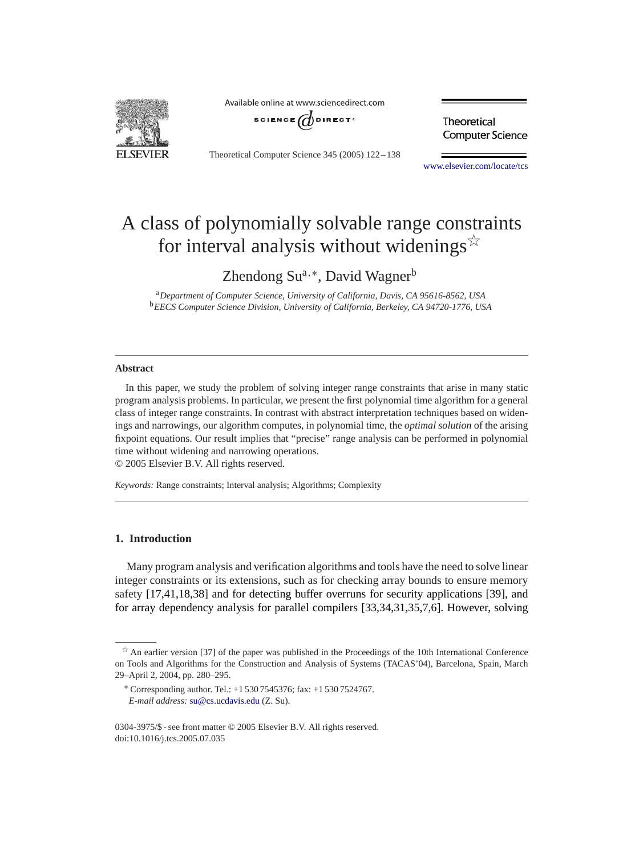

Available online at www.sciencedirect.com



Theoretical Computer Science 345 (2005) 122 – 138

Theoretical **Computer Science** 

[www.elsevier.com/locate/tcs](http://www.elsevier.com/locate/tcs)

# Aclass of polynomially solvable range constraints for interval analysis without widenings  $\overrightarrow{x}$

Zhendong Su<sup>a,∗</sup>, David Wagner<sup>b</sup>

<sup>a</sup>*Department of Computer Science, University of California, Davis, CA 95616-8562, USA* <sup>b</sup>*EECS Computer Science Division, University of California, Berkeley, CA 94720-1776, USA*

#### **Abstract**

In this paper, we study the problem of solving integer range constraints that arise in many static program analysis problems. In particular, we present the first polynomial time algorithm for a general class of integer range constraints. In contrast with abstract interpretation techniques based on widenings and narrowings, our algorithm computes, in polynomial time, the *optimal solution* of the arising fixpoint equations. Our result implies that "precise" range analysis can be performed in polynomial time without widening and narrowing operations.

© 2005 Elsevier B.V. All rights reserved.

*Keywords:* Range constraints; Interval analysis; Algorithms; Complexity

# **1. Introduction**

Many program analysis and verification algorithms and tools have the need to solve linear integer constraints or its extensions, such as for checking array bounds to ensure memory safety [\[17,](#page-15-0)[41,](#page-16-0)[18,](#page-15-0)[38\]](#page-16-0) and for detecting buffer overruns for security applications [\[39\],](#page-16-0) and for array dependency analysis for parallel compilers [\[33,34,31,35,](#page-16-0)[7,6\].](#page-15-0) However, solving

 $\overrightarrow{a}$  An earlier version [\[37\]](#page-16-0) of the paper was published in the Proceedings of the 10th International Conference on Tools and Algorithms for the Construction and Analysis of Systems (TACAS'04), Barcelona, Spain, March 29–April 2, 2004, pp. 280–295.

<sup>∗</sup> Corresponding author. Tel.: +1 530 7545376; fax: +1 530 7524767. *E-mail address:* [su@cs.ucdavis.edu](mailto:su@cs.ucdavis.edu) (Z. Su).

<sup>0304-3975/\$ -</sup> see front matter © 2005 Elsevier B.V. All rights reserved. doi:10.1016/j.tcs.2005.07.035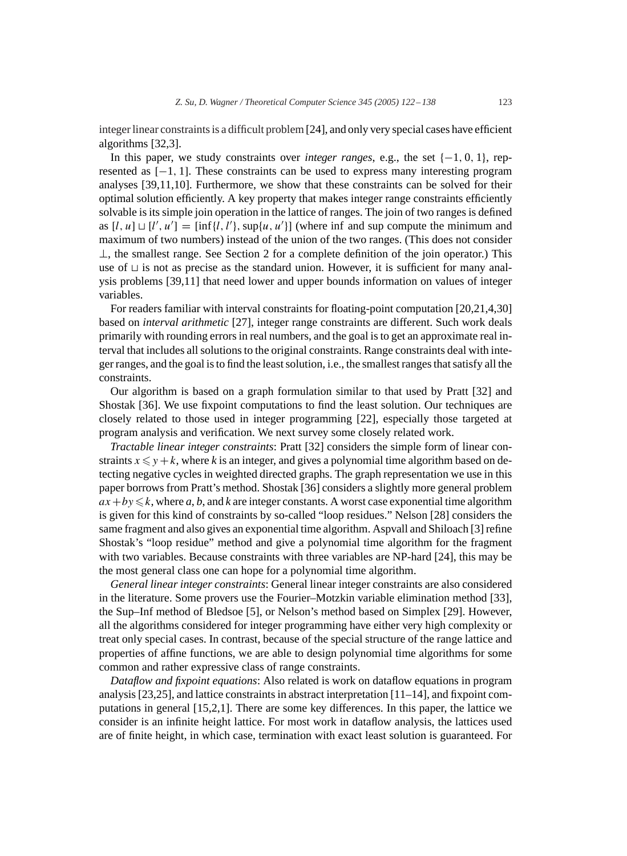integer linear constraints is a difficult problem[\[24\],](#page-16-0) and only very special cases have efficient algorithms [\[32](#page-16-0)[,3\].](#page-15-0)

In this paper, we study constraints over *integer ranges*, e.g., the set  $\{-1, 0, 1\}$ , represented as [−1, 1]. These constraints can be used to express many interesting program analyses [\[39,](#page-16-0)[11,10\].](#page-15-0) Furthermore, we show that these constraints can be solved for their optimal solution efficiently. Akey property that makes integer range constraints efficiently solvable is its simple join operation in the lattice of ranges. The join of two ranges is defined as  $[l, u] \sqcup [l', u'] = [\inf\{l, l'\}, \sup\{u, u'\}]$  (where inf and sup compute the minimum and maximum of two numbers) instead of the union of the two ranges. (This does not consider ⊥, the smallest range. See Section [2](#page-2-0) for a complete definition of the join operator.) This use of  $\sqcup$  is not as precise as the standard union. However, it is sufficient for many analysis problems [\[39](#page-16-0)[,11\]](#page-15-0) that need lower and upper bounds information on values of integer variables.

For readers familiar with interval constraints for floating-point computation [\[20,21,](#page-16-0)[4,](#page-15-0)[30\]](#page-16-0) based on *interval arithmetic* [\[27\],](#page-16-0) integer range constraints are different. Such work deals primarily with rounding errors in real numbers, and the goal is to get an approximate real interval that includes all solutions to the original constraints. Range constraints deal with integer ranges, and the goal is to find the least solution, i.e., the smallest ranges that satisfy all the constraints.

Our algorithm is based on a graph formulation similar to that used by Pratt [\[32\]](#page-16-0) and Shostak [\[36\].](#page-16-0) We use fixpoint computations to find the least solution. Our techniques are closely related to those used in integer programming [\[22\],](#page-16-0) especially those targeted at program analysis and verification. We next survey some closely related work.

*Tractable linear integer constraints*: Pratt [\[32\]](#page-16-0) considers the simple form of linear constraints  $x \leq y + k$ , where k is an integer, and gives a polynomial time algorithm based on detecting negative cycles in weighted directed graphs. The graph representation we use in this paper borrows from Pratt's method. Shostak [\[36\]](#page-16-0) considers a slightly more general problem  $ax + by \le k$ , where *a*, *b*, and *k* are integer constants. A worst case exponential time algorithm is given for this kind of constraints by so-called "loop residues." Nelson [\[28\]](#page-16-0) considers the same fragment and also gives an exponential time algorithm. Aspvall and Shiloach [\[3\]](#page-15-0) refine Shostak's "loop residue" method and give a polynomial time algorithm for the fragment with two variables. Because constraints with three variables are NP-hard [\[24\],](#page-16-0) this may be the most general class one can hope for a polynomial time algorithm.

*General linear integer constraints*: General linear integer constraints are also considered in the literature. Some provers use the Fourier–Motzkin variable elimination method [\[33\],](#page-16-0) the Sup–Inf method of Bledsoe [\[5\],](#page-15-0) or Nelson's method based on Simplex [\[29\].](#page-16-0) However, all the algorithms considered for integer programming have either very high complexity or treat only special cases. In contrast, because of the special structure of the range lattice and properties of affine functions, we are able to design polynomial time algorithms for some common and rather expressive class of range constraints.

*Dataflow and fixpoint equations*: Also related is work on dataflow equations in program analysis [\[23,25\],](#page-16-0) and lattice constraints in abstract interpretation [\[11–14\],](#page-15-0) and fixpoint computations in general [\[15,2,1\].](#page-15-0) There are some key differences. In this paper, the lattice we consider is an infinite height lattice. For most work in dataflow analysis, the lattices used are of finite height, in which case, termination with exact least solution is guaranteed. For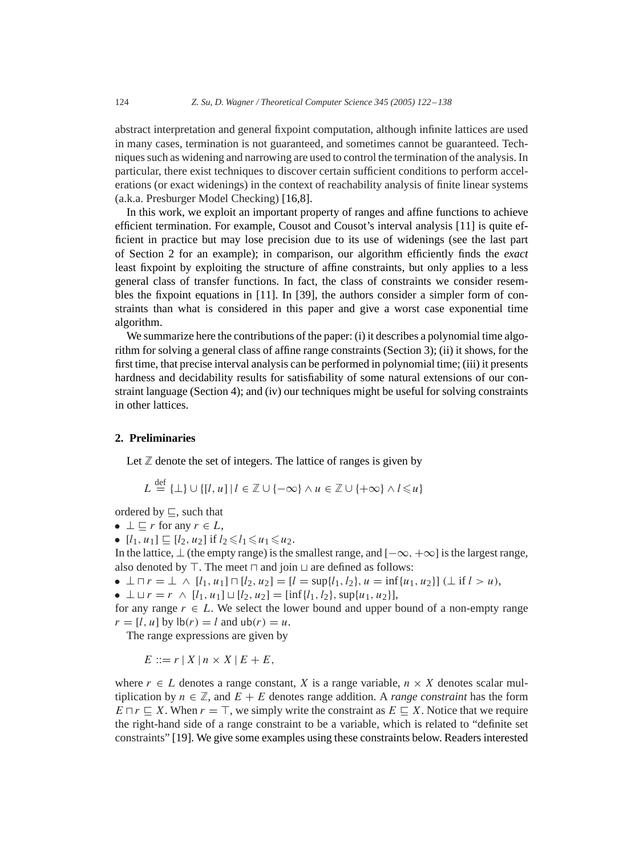<span id="page-2-0"></span>abstract interpretation and general fixpoint computation, although infinite lattices are used in many cases, termination is not guaranteed, and sometimes cannot be guaranteed. Techniques such as widening and narrowing are used to control the termination of the analysis. In particular, there exist techniques to discover certain sufficient conditions to perform accelerations (or exact widenings) in the context of reachability analysis of finite linear systems (a.k.a. Presburger Model Checking) [\[16,8\].](#page-15-0)

In this work, we exploit an important property of ranges and affine functions to achieve efficient termination. For example, Cousot and Cousot's interval analysis [\[11\]](#page-15-0) is quite efficient in practice but may lose precision due to its use of widenings (see the last part of Section 2 for an example); in comparison, our algorithm efficiently finds the *exact* least fixpoint by exploiting the structure of affine constraints, but only applies to a less general class of transfer functions. In fact, the class of constraints we consider resembles the fixpoint equations in [\[11\].](#page-15-0) In [\[39\],](#page-16-0) the authors consider a simpler form of constraints than what is considered in this paper and give a worst case exponential time algorithm.

We summarize here the contributions of the paper: (i) it describes a polynomial time algorithm for solving a general class of affine range constraints (Section [3\)](#page-5-0); (ii) it shows, for the first time, that precise interval analysis can be performed in polynomial time; (iii) it presents hardness and decidability results for satisfiability of some natural extensions of our constraint language (Section [4\)](#page-13-0); and (iv) our techniques might be useful for solving constraints in other lattices.

## **2. Preliminaries**

Let  $\mathbb Z$  denote the set of integers. The lattice of ranges is given by

$$
L \stackrel{\text{def}}{=} {\perp} \cup \{ [l, u] \mid l \in \mathbb{Z} \cup \{ -\infty \} \land u \in \mathbb{Z} \cup \{ +\infty \} \land l \leq u \}
$$

ordered by  $\sqsubset$ , such that

• 
$$
\perp
$$
  $\sqsubseteq$  *r* for any  $r \in L$ ,

•  $[l_1, u_1] \sqsubseteq [l_2, u_2]$  if  $l_2 \le l_1 \le u_1 \le u_2$ .

In the lattice,  $\bot$  (the empty range) is the smallest range, and  $[-\infty, +\infty]$  is the largest range, also denoted by  $\top$ . The meet  $\top$  and join  $\sqcup$  are defined as follows:

- $\perp \cap r = \perp \wedge [l_1, u_1] \cap [l_2, u_2] = [l = \sup\{l_1, l_2\}, u = \inf\{u_1, u_2\}] \perp \text{if } l > u$ ,
- $\perp \sqcup r = r \land [l_1, u_1] \sqcup [l_2, u_2] = [\inf\{l_1, l_2\}, \sup\{u_1, u_2\}],$

for any range  $r \in L$ . We select the lower bound and upper bound of a non-empty range  $r = [l, u]$  by  $|b(r) = l$  and  $ub(r) = u$ .

The range expressions are given by

 $E ::= r | X | n \times X | E + E,$ 

where  $r \in L$  denotes a range constant, X is a range variable,  $n \times X$  denotes scalar multiplication by  $n \in \mathbb{Z}$ , and  $E + E$  denotes range addition. A *range constraint* has the form  $E \sqcap r \sqsubseteq X$ . When  $r = \top$ , we simply write the constraint as  $E \sqsubseteq X$ . Notice that we require the right-hand side of a range constraint to be a variable, which is related to "definite set constraints" [\[19\].](#page-16-0) We give some examples using these constraints below. Readers interested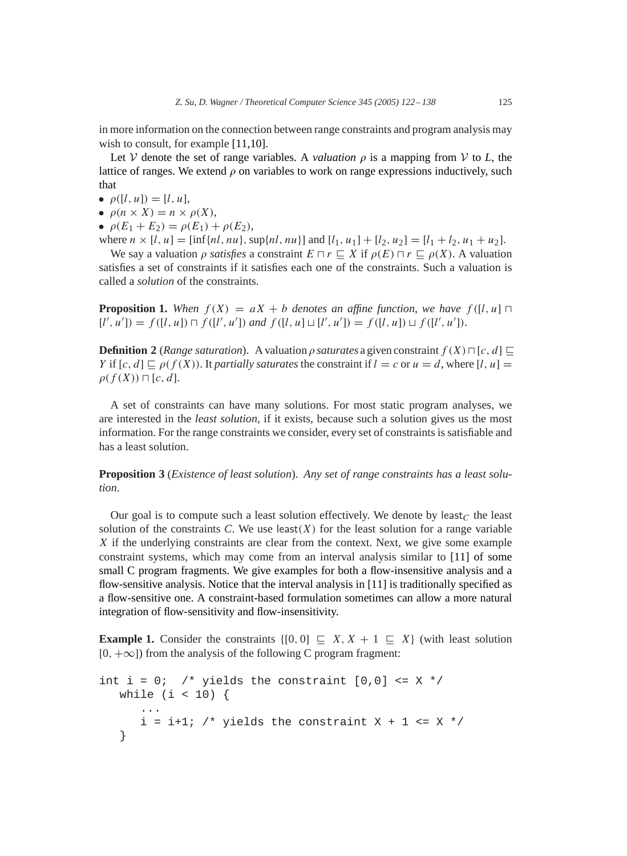<span id="page-3-0"></span>in more information on the connection between range constraints and program analysis may wish to consult, for example [\[11,10\].](#page-15-0)

Let V denote the set of range variables. A *valuation*  $\rho$  is a mapping from V to L, the lattice of ranges. We extend  $\rho$  on variables to work on range expressions inductively, such that

- $\rho([l, u]) = [l, u],$
- $\rho(n \times X) = n \times \rho(X)$ ,
- $\rho(E_1 + E_2) = \rho(E_1) + \rho(E_2),$
- where  $n \times [l, u] = [\inf\{nl, nu\}, \sup\{nl, nu\}]$  and  $[l_1, u_1] + [l_2, u_2] = [l_1 + l_2, u_1 + u_2]$ .

We say a valuation  $\rho$  *satisfies* a constraint  $E \sqcap r \sqsubset X$  if  $\rho(E) \sqcap r \sqsubset \rho(X)$ . A valuation satisfies a set of constraints if it satisfies each one of the constraints. Such a valuation is called a *solution* of the constraints.

**Proposition 1.** When  $f(X) = aX + b$  denotes an affine function, we have  $f([l, u] \sqcap$  $[l', u'] = f([l, u]) \sqcap f([l', u'])$  and  $f([l, u] \sqcup [l', u']) = f([l, u]) \sqcup f([l', u']).$ 

**Definition 2** (*Range saturation*). A valuation  $\rho$  saturates a given constraint  $f(X) \sqcap [c, d] \sqsubset$ Y if  $[c, d] \sqsubseteq \rho(f(X))$ . It *partially saturates* the constraint if  $l = c$  or  $u = d$ , where [l, u] =  $\rho(f(X)) \sqcap [c, d].$ 

Aset of constraints can have many solutions. For most static program analyses, we are interested in the *least solution*, if it exists, because such a solution gives us the most information. For the range constraints we consider, every set of constraints is satisfiable and has a least solution.

**Proposition 3** (*Existence of least solution*). *Any set of range constraints has a least solution*.

Our goal is to compute such a least solution effectively. We denote by least  $C$  the least solution of the constraints  $C$ . We use least $(X)$  for the least solution for a range variable X if the underlying constraints are clear from the context. Next, we give some example constraint systems, which may come from an interval analysis similar to [\[11\]](#page-15-0) of some small C program fragments. We give examples for both a flow-insensitive analysis and a flow-sensitive analysis. Notice that the interval analysis in [\[11\]](#page-15-0) is traditionally specified as a flow-sensitive one. A constraint-based formulation sometimes can allow a more natural integration of flow-sensitivity and flow-insensitivity.

**Example 1.** Consider the constraints  $\{[0, 0] \sqsubseteq X, X + 1 \sqsubseteq X\}$  (with least solution  $[0, +\infty]$  from the analysis of the following C program fragment:

```
int i = 0; /* yields the constraint [0,0] <= X */
  while (i < 10) {
      ...
      i = i+1; /* yields the constraint X + 1 <= X */
   }
```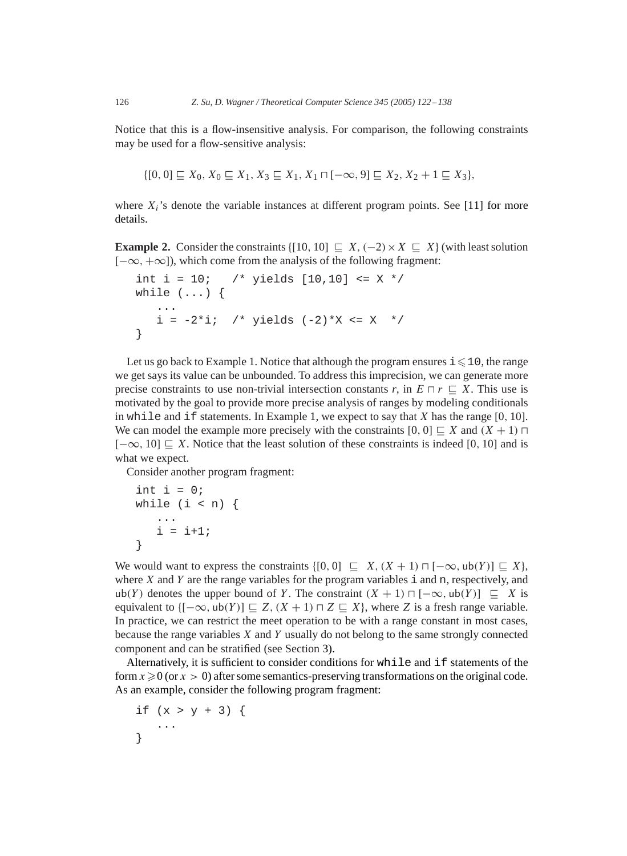Notice that this is a flow-insensitive analysis. For comparison, the following constraints may be used for a flow-sensitive analysis:

$$
\{[0,0] \sqsubseteq X_0, X_0 \sqsubseteq X_1, X_3 \sqsubseteq X_1, X_1 \sqcap [-\infty, 9] \sqsubseteq X_2, X_2 + 1 \sqsubseteq X_3\},\
$$

where  $X_i$ 's denote the variable instances at different program points. See [\[11\]](#page-15-0) for more details.

**Example 2.** Consider the constraints  $\{[10, 10] \sqsubseteq X, (-2) \times X \sqsubseteq X\}$  (with least solution  $[-\infty, +\infty]$ ), which come from the analysis of the following fragment:

```
int i = 10; /* yields [10, 10] <= X */while (\ldots) {
   ...
   i = -2 * i; /* yields (-2) * X \leq X *}
```
Let us go back to Example 1. Notice that although the program ensures  $i \leq 10$ , the range we get says its value can be unbounded. To address this imprecision, we can generate more precise constraints to use non-trivial intersection constants  $r$ , in  $E \sqcap r \sqsubseteq X$ . This use is motivated by the goal to provide more precise analysis of ranges by modeling conditionals in while and if statements. In Example 1, we expect to say that X has the range  $[0, 10]$ . We can model the example more precisely with the constraints  $[0, 0] \sqsubseteq X$  and  $(X + 1) \sqcap$  $[-\infty, 10] \sqsubseteq X$ . Notice that the least solution of these constraints is indeed [0, 10] and is what we expect.

Consider another program fragment:

```
int i = 0;
while (i < n) {
   ...
   i = i+1;}
```
We would want to express the constraints  $\{[0, 0] \sqsubseteq X, (X + 1) \sqcap [-\infty, \text{ub}(Y)] \sqsubseteq X\}$ , where  $X$  and  $Y$  are the range variables for the program variables  $\dot{i}$  and n, respectively, and ub(Y) denotes the upper bound of Y. The constraint  $(X + 1) \sqcap [-\infty, \text{ub}(Y)] \sqsubseteq X$  is equivalent to  ${[-\infty, \text{ub}(Y)] \sqsubset Z}$ ,  $(X + 1) \sqcap Z \sqsubset X}$ , where Z is a fresh range variable. In practice, we can restrict the meet operation to be with a range constant in most cases, because the range variables  $X$  and  $Y$  usually do not belong to the same strongly connected component and can be stratified (see Section [3\)](#page-5-0).

Alternatively, it is sufficient to consider conditions for while and if statements of the form  $x \ge 0$  (or  $x > 0$ ) after some semantics-preserving transformations on the original code. As an example, consider the following program fragment:

if  $(x > y + 3)$  { ... }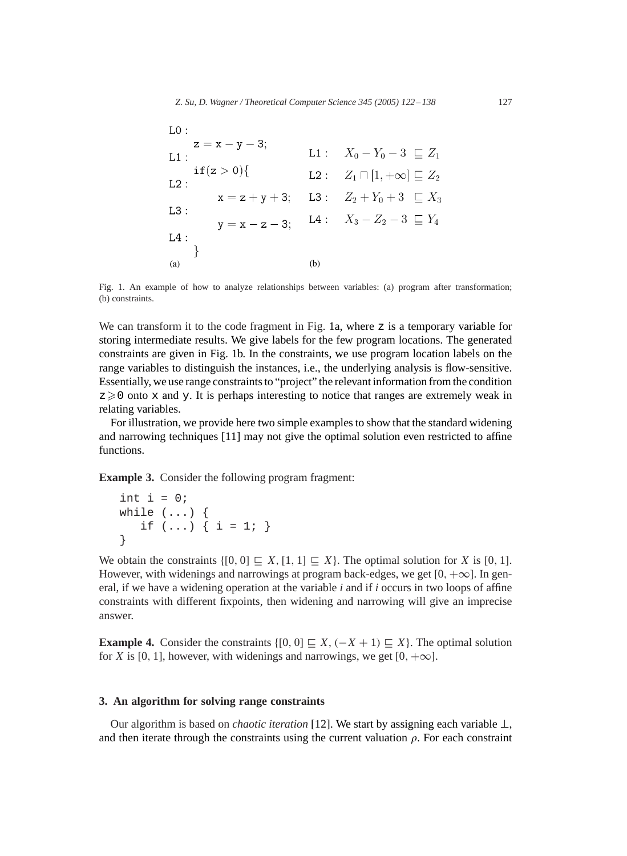<span id="page-5-0"></span>

| LO:                        |  |     |                                                       |
|----------------------------|--|-----|-------------------------------------------------------|
| $z = x - y - 3;$<br>$L1$ : |  |     | L1 : $X_0 - Y_0 - 3 \sqsubset Z_1$                    |
| if(z>0)<br>L2:             |  |     | <b>L2</b> : $Z_1 \sqcap [1, +\infty] \sqsubseteq Z_2$ |
|                            |  |     | $x = z + y + 3$ ; L3: $Z_2 + Y_0 + 3 \subseteq X_3$   |
| $L3$ :                     |  |     | $y = x - z - 3$ ; L4: $X_3 - Z_2 - 3 \sqsubseteq Y_4$ |
| $L4$ :                     |  |     |                                                       |
| (a)                        |  | (b) |                                                       |

Fig. 1. An example of how to analyze relationships between variables: (a) program after transformation; (b) constraints.

We can transform it to the code fragment in Fig. 1a, where  $z$  is a temporary variable for storing intermediate results. We give labels for the few program locations. The generated constraints are given in Fig. 1b. In the constraints, we use program location labels on the range variables to distinguish the instances, i.e., the underlying analysis is flow-sensitive. Essentially, we use range constraints to "project" the relevant information from the condition  $z \geq 0$  onto x and y. It is perhaps interesting to notice that ranges are extremely weak in relating variables.

For illustration, we provide here two simple examples to show that the standard widening and narrowing techniques [\[11\]](#page-15-0) may not give the optimal solution even restricted to affine functions.

**Example 3.** Consider the following program fragment:

```
int i = 0;
while (\ldots) {
   if (...) { i = 1; }
}
```
We obtain the constraints  $\{[0, 0] \subset X, [1, 1] \subset X\}$ . The optimal solution for X is [0, 1]. However, with widenings and narrowings at program back-edges, we get  $[0, +\infty]$ . In general, if we have a widening operation at the variable *i* and if *i* occurs in two loops of affine constraints with different fixpoints, then widening and narrowing will give an imprecise answer.

**Example 4.** Consider the constraints  $\{ [0, 0] \subseteq X, (-X + 1) \subseteq X \}$ . The optimal solution for X is [0, 1], however, with widenings and narrowings, we get  $[0, +\infty]$ .

#### **3. An algorithm for solving range constraints**

Our algorithm is based on *chaotic iteration* [\[12\].](#page-15-0) We start by assigning each variable ⊥, and then iterate through the constraints using the current valuation  $\rho$ . For each constraint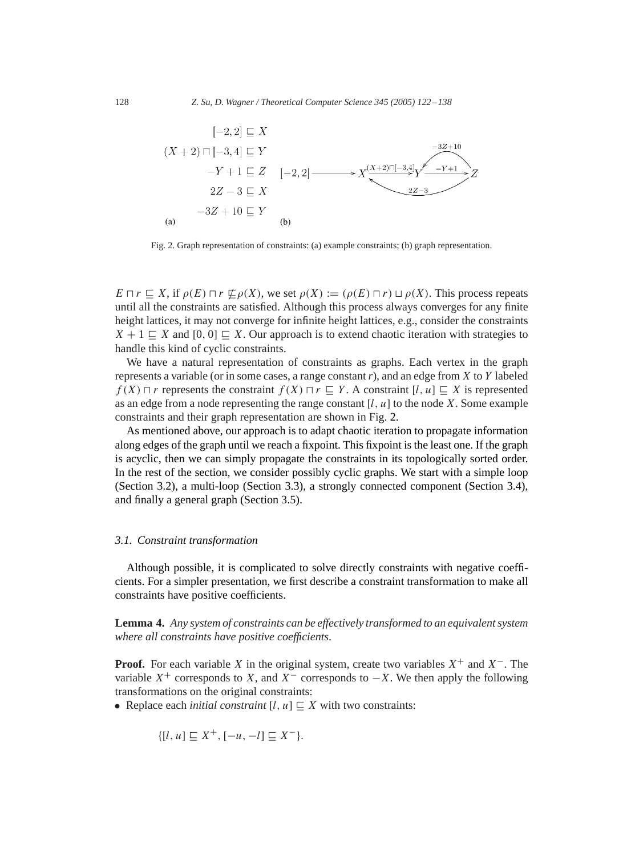

Fig. 2. Graph representation of constraints: (a) example constraints; (b) graph representation.

 $E \sqcap r \sqsubseteq X$ , if  $\rho(E) \sqcap r \not\sqsubseteq \rho(X)$ , we set  $\rho(X) := (\rho(E) \sqcap r) \sqcup \rho(X)$ . This process repeats until all the constraints are satisfied. Although this process always converges for any finite height lattices, it may not converge for infinite height lattices, e.g., consider the constraints  $X + 1 \subseteq X$  and  $[0, 0] \subseteq X$ . Our approach is to extend chaotic iteration with strategies to handle this kind of cyclic constraints.

We have a natural representation of constraints as graphs. Each vertex in the graph represents a variable (or in some cases, a range constant *r*), and an edge from X to Y labeled  $f(X) \sqcap r$  represents the constraint  $f(X) \sqcap r \sqsubseteq Y$ . A constraint  $[l, u] \sqsubseteq X$  is represented as an edge from a node representing the range constant  $[l, u]$  to the node X. Some example constraints and their graph representation are shown in Fig. 2.

As mentioned above, our approach is to adapt chaotic iteration to propagate information along edges of the graph until we reach a fixpoint. This fixpoint is the least one. If the graph is acyclic, then we can simply propagate the constraints in its topologically sorted order. In the rest of the section, we consider possibly cyclic graphs. We start with a simple loop (Section [3.2\)](#page-7-0), a multi-loop (Section [3.3\)](#page-8-0), a strongly connected component (Section [3.4\)](#page-8-0), and finally a general graph (Section [3.5\)](#page-11-0).

#### *3.1. Constraint transformation*

Although possible, it is complicated to solve directly constraints with negative coefficients. For a simpler presentation, we first describe a constraint transformation to make all constraints have positive coefficients.

**Lemma 4.** *Any system of constraints can be effectively transformed to an equivalent system where all constraints have positive coefficients*.

**Proof.** For each variable X in the original system, create two variables  $X^+$  and  $X^-$ . The variable  $X^+$  corresponds to X, and  $X^-$  corresponds to  $-X$ . We then apply the following transformations on the original constraints:

• Replace each *initial constraint*  $[l, u] \sqsubseteq X$  with two constraints:

$$
\{[l, u] \sqsubseteq X^+, [-u, -l] \sqsubseteq X^- \}.
$$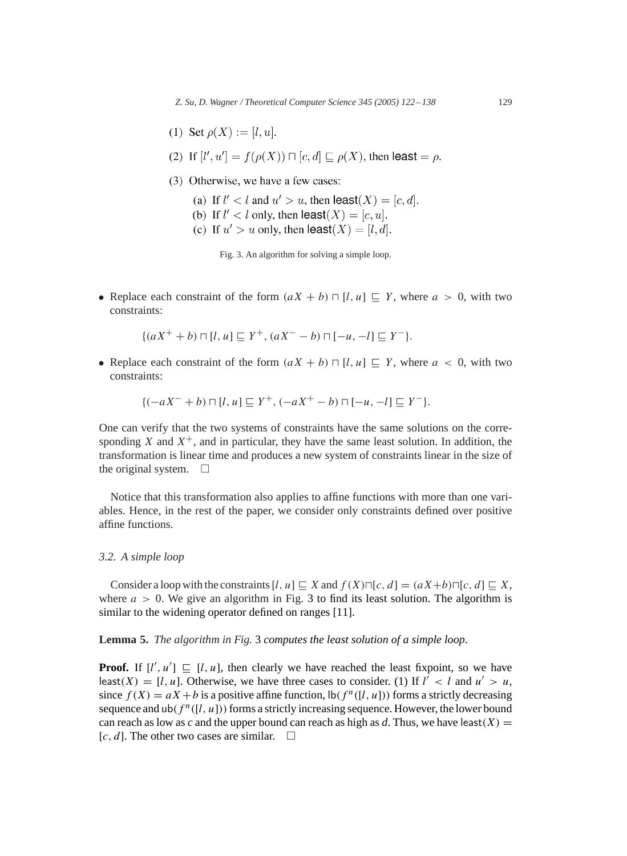- <span id="page-7-0"></span>(1) Set  $\rho(X) := [l, u].$
- (2) If  $[l', u'] = f(\rho(X)) \sqcap [c, d] \sqsubset \rho(X)$ , then least  $= \rho$ .
- (3) Otherwise, we have a few cases:
	- (a) If  $l' < l$  and  $u' > u$ , then least(X) = [c, d].
	- (b) If  $l' < l$  only, then  $\text{least}(X) = [c, u]$ .
	- (c) If  $u' > u$  only, then  $\textsf{least}(X) = [l, d].$

Fig. 3. An algorithm for solving a simple loop.

• Replace each constraint of the form  $(aX + b) \sqcap [l, u] \sqsubseteq Y$ , where  $a > 0$ , with two constraints:

$$
\{(aX^+ + b) \sqcap [l, u] \sqsubseteq Y^+, (aX^- - b) \sqcap [-u, -l] \sqsubseteq Y^- \}.
$$

• Replace each constraint of the form  $(aX + b) \sqcap [l, u] \sqsubseteq Y$ , where  $a < 0$ , with two constraints:

$$
\{(-aX^{-}+b)\sqcap [l,u]\sqsubseteq Y^{+}, (-aX^{+}-b)\sqcap [-u,-l]\sqsubseteq Y^{-}\}.
$$

One can verify that the two systems of constraints have the same solutions on the corresponding X and  $X^+$ , and in particular, they have the same least solution. In addition, the transformation is linear time and produces a new system of constraints linear in the size of the original system.  $\square$ 

Notice that this transformation also applies to affine functions with more than one variables. Hence, in the rest of the paper, we consider only constraints defined over positive affine functions.

#### *3.2. A simple loop*

Consider a loop with the constraints  $[l, u] \sqsubset X$  and  $f(X)\sqcap [c, d] = (aX+b)\sqcap [c, d] \sqsubset X$ , where  $a > 0$ . We give an algorithm in Fig. 3 to find its least solution. The algorithm is similar to the widening operator defined on ranges [\[11\].](#page-15-0)

# **Lemma 5.** *The algorithm in Fig.* 3 *computes the least solution of a simple loop*.

**Proof.** If  $[l', u'] \subseteq [l, u]$ , then clearly we have reached the least fixpoint, so we have least(X) = [l, u]. Otherwise, we have three cases to consider. (1) If  $l^{\prime}$  < l and  $u^{\prime} > u$ , since  $f(X) = aX + b$  is a positive affine function,  $\text{lb}(f^n([l, u]))$  forms a strictly decreasing sequence and ub( $f^n([l, u])$ ) forms a strictly increasing sequence. However, the lower bound can reach as low as *c* and the upper bound can reach as high as *d*. Thus, we have least( $X$ ) = [c, d]. The other two cases are similar.  $\square$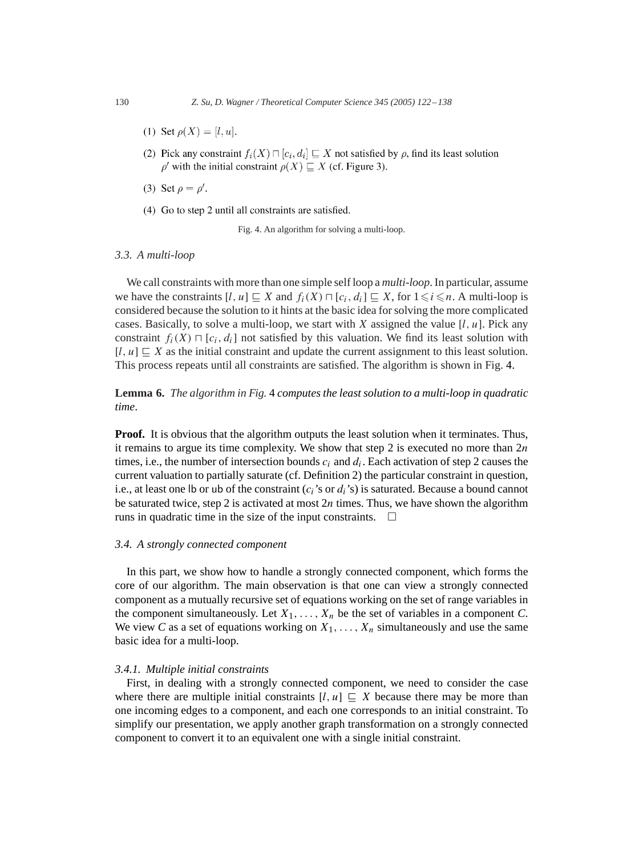- (1) Set  $\rho(X) = [l, u]$ .
- (2) Pick any constraint  $f_i(X) \sqcap [c_i, d_i] \sqsubseteq X$  not satisfied by  $\rho$ , find its least solution  $\rho'$  with the initial constraint  $\rho(X) \sqsubseteq X$  (cf. Figure 3).
- (3) Set  $\rho = \rho'$ .
- (4) Go to step 2 until all constraints are satisfied.

Fig. 4. An algorithm for solving a multi-loop.

#### *3.3. A multi-loop*

We call constraints with more than one simple self loop a *multi-loop*. In particular, assume we have the constraints  $[l, u] \sqsubseteq X$  and  $f_i(X) \sqcap [c_i, d_i] \sqsubseteq X$ , for  $1 \leq i \leq n$ . A multi-loop is considered because the solution to it hints at the basic idea for solving the more complicated cases. Basically, to solve a multi-loop, we start with X assigned the value  $[l, u]$ . Pick any constraint  $f_i(X) \sqcap [c_i, d_i]$  not satisfied by this valuation. We find its least solution with  $[l, u] \subseteq X$  as the initial constraint and update the current assignment to this least solution. This process repeats until all constraints are satisfied. The algorithm is shown in Fig. 4.

# **Lemma 6.** *The algorithm in Fig.* 4 *computes the least solution to a multi-loop in quadratic time*.

**Proof.** It is obvious that the algorithm outputs the least solution when it terminates. Thus, it remains to argue its time complexity. We show that step 2 is executed no more than  $2n$ times, i.e., the number of intersection bounds  $c_i$  and  $d_i$ . Each activation of step 2 causes the current valuation to partially saturate (cf. Definition [2\)](#page-3-0) the particular constraint in question, i.e., at least one lb or ub of the constraint  $(c_i)$ 's or  $d_i$ 's) is saturated. Because a bound cannot be saturated twice, step 2 is activated at most  $2n$  times. Thus, we have shown the algorithm runs in quadratic time in the size of the input constraints.  $\Box$ 

#### *3.4. A strongly connected component*

In this part, we show how to handle a strongly connected component, which forms the core of our algorithm. The main observation is that one can view a strongly connected component as a mutually recursive set of equations working on the set of range variables in the component simultaneously. Let  $X_1, \ldots, X_n$  be the set of variables in a component *C*. We view *C* as a set of equations working on  $X_1, \ldots, X_n$  simultaneously and use the same basic idea for a multi-loop.

#### *3.4.1. Multiple initial constraints*

First, in dealing with a strongly connected component, we need to consider the case where there are multiple initial constraints  $[l, u] \subseteq X$  because there may be more than one incoming edges to a component, and each one corresponds to an initial constraint. To simplify our presentation, we apply another graph transformation on a strongly connected component to convert it to an equivalent one with a single initial constraint.

<span id="page-8-0"></span>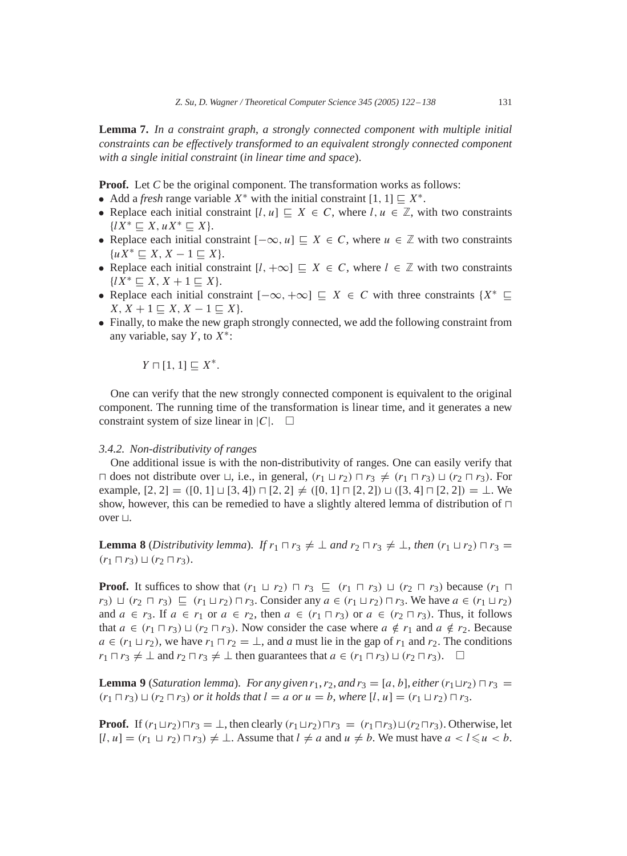<span id="page-9-0"></span>**Lemma 7.** *In a constraint graph*, *a strongly connected component with multiple initial constraints can be effectively transformed to an equivalent strongly connected component with a single initial constraint* (*in linear time and space*).

**Proof.** Let *C* be the original component. The transformation works as follows:

- Add a *fresh* range variable  $X^*$  with the initial constraint  $[1, 1] \sqsubseteq X^*$ .
- Replace each initial constraint  $[l, u] \sqsubset X \in C$ , where  $l, u \in \mathbb{Z}$ , with two constraints  $\{lX^* \sqsubseteq X, uX^* \sqsubseteq X\}.$
- Replace each initial constraint  $[-\infty, u] \sqsubseteq X \in C$ , where  $u \in \mathbb{Z}$  with two constraints  $\{uX^* \sqsubset X, X-1 \sqsubset X\}.$
- Replace each initial constraint  $[l, +\infty] \subseteq X \in C$ , where  $l \in \mathbb{Z}$  with two constraints  $\{lX^* \sqsubseteq X, X+1 \sqsubseteq X\}.$
- Replace each initial constraint  $[-\infty, +\infty] \subseteq X \in C$  with three constraints  $\{X^* \subseteq X\}$  $X, X + 1 \subseteq X, X - 1 \subseteq X$ .
- Finally, to make the new graph strongly connected, we add the following constraint from any variable, say  $Y$ , to  $X^*$ :

$$
Y\sqcap [1,1]\sqsubseteq X^*.
$$

One can verify that the new strongly connected component is equivalent to the original component. The running time of the transformation is linear time, and it generates a new constraint system of size linear in  $|C|$ .  $\square$ 

#### *3.4.2. Non-distributivity of ranges*

One additional issue is with the non-distributivity of ranges. One can easily verify that  $\Box$  does not distribute over  $\Box$ , i.e., in general,  $(r_1 \Box r_2) \Box r_3 \neq (r_1 \Box r_3) \Box (r_2 \Box r_3)$ . For example,  $[2, 2] = ([0, 1] \sqcup [3, 4]) \sqcap [2, 2] \neq ([0, 1] \sqcap [2, 2]) \sqcup ([3, 4] \sqcap [2, 2]) = \bot$ . We show, however, this can be remedied to have a slightly altered lemma of distribution of  $\Box$ over  $\sqcup$ .

**Lemma 8** (*Distributivity lemma*). *If*  $r_1 \sqcap r_3 \neq \bot$  *and*  $r_2 \sqcap r_3 \neq \bot$ , *then*  $(r_1 \sqcup r_2) \sqcap r_3 =$  $(r_1 \sqcap r_3) \sqcup (r_2 \sqcap r_3).$ 

**Proof.** It suffices to show that  $(r_1 \sqcup r_2) \sqcap r_3 \sqsubseteq (r_1 \sqcap r_3) \sqcup (r_2 \sqcap r_3)$  because  $(r_1 \sqcap$  $r_3$ )  $\sqcup$   $(r_2 \sqcap r_3) \sqsubseteq (r_1 \sqcup r_2) \sqcap r_3$ . Consider any  $a \in (r_1 \sqcup r_2) \sqcap r_3$ . We have  $a \in (r_1 \sqcup r_2)$ and  $a \in r_3$ . If  $a \in r_1$  or  $a \in r_2$ , then  $a \in (r_1 \sqcap r_3)$  or  $a \in (r_2 \sqcap r_3)$ . Thus, it follows that  $a \in (r_1 \sqcap r_3) \sqcup (r_2 \sqcap r_3)$ . Now consider the case where  $a \notin r_1$  and  $a \notin r_2$ . Because  $a \in (r_1 \sqcup r_2)$ , we have  $r_1 \sqcap r_2 = \bot$ , and a must lie in the gap of  $r_1$  and  $r_2$ . The conditions  $r_1 \sqcap r_3 \neq \bot$  and  $r_2 \sqcap r_3 \neq \bot$  then guarantees that  $a \in (r_1 \sqcap r_3) \sqcup (r_2 \sqcap r_3)$ .  $\square$ 

**Lemma 9** (*Saturation lemma*). *For any given*  $r_1$ ,  $r_2$ , *and*  $r_3 = [a, b]$ , *either*  $(r_1 \sqcup r_2) \sqcap r_3 =$  $(r_1 \sqcap r_3) \sqcup (r_2 \sqcap r_3)$  *or it holds that*  $l = a$  *or*  $u = b$ *, where*  $[l, u] = (r_1 \sqcup r_2) \sqcap r_3$ *.* 

**Proof.** If  $(r_1 \sqcup r_2) \sqcap r_3 = \perp$ , then clearly  $(r_1 \sqcup r_2) \sqcap r_3 = (r_1 \sqcap r_3) \sqcup (r_2 \sqcap r_3)$ . Otherwise, let  $[l, u] = (r_1 \sqcup r_2) \sqcap r_3 \neq \bot$ . Assume that  $l \neq a$  and  $u \neq b$ . We must have  $a < l \leq u < b$ .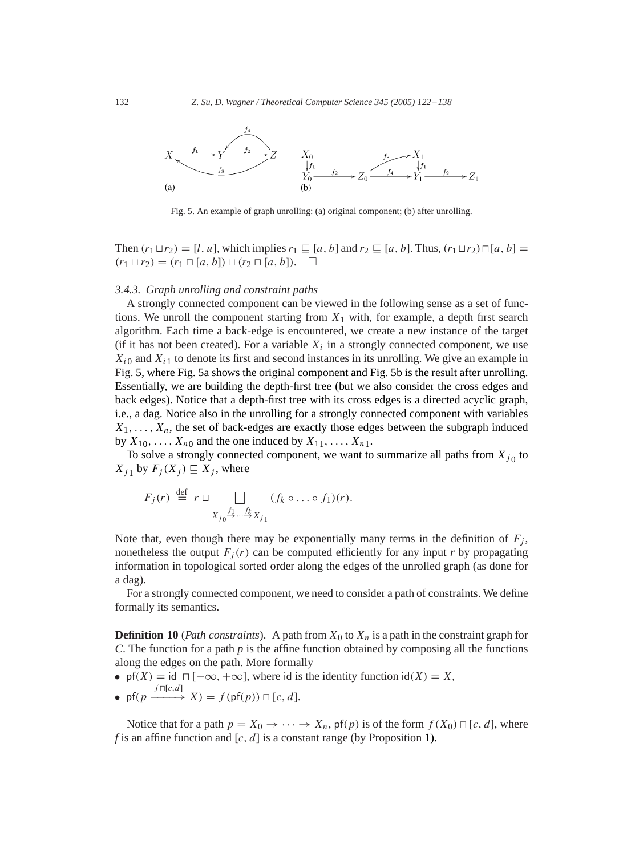

Fig. 5. An example of graph unrolling: (a) original component; (b) after unrolling.

Then  $(r_1 \sqcup r_2) = [l, u]$ , which implies  $r_1 \sqsubseteq [a, b]$  and  $r_2 \sqsubseteq [a, b]$ . Thus,  $(r_1 \sqcup r_2) \sqcap [a, b] =$  $(r_1 \sqcup r_2) = (r_1 \sqcap [a, b]) \sqcup (r_2 \sqcap [a, b]). \square$ 

#### *3.4.3. Graph unrolling and constraint paths*

Astrongly connected component can be viewed in the following sense as a set of functions. We unroll the component starting from  $X_1$  with, for example, a depth first search algorithm. Each time a back-edge is encountered, we create a new instance of the target (if it has not been created). For a variable  $X_i$  in a strongly connected component, we use  $X_{i0}$  and  $X_{i1}$  to denote its first and second instances in its unrolling. We give an example in Fig. 5, where Fig. 5a shows the original component and Fig. 5b is the result after unrolling. Essentially, we are building the depth-first tree (but we also consider the cross edges and back edges). Notice that a depth-first tree with its cross edges is a directed acyclic graph, i.e., a dag. Notice also in the unrolling for a strongly connected component with variables  $X_1, \ldots, X_n$ , the set of back-edges are exactly those edges between the subgraph induced by  $X_{10}, \ldots, X_{n0}$  and the one induced by  $X_{11}, \ldots, X_{n1}$ .

To solve a strongly connected component, we want to summarize all paths from  $X_{j_0}$  to  $X_{i_1}$  by  $F_i(X_i) \sqsubseteq X_i$ , where

$$
F_j(r) \stackrel{\text{def}}{=} r \sqcup \bigsqcup_{X_{j_0} \stackrel{f_1 \dots f_k}{\rightarrow} X_{j_1}} (f_k \circ \dots \circ f_1)(r).
$$

Note that, even though there may be exponentially many terms in the definition of  $F_i$ , nonetheless the output  $F_i(r)$  can be computed efficiently for any input r by propagating information in topological sorted order along the edges of the unrolled graph (as done for a dag).

For a strongly connected component, we need to consider a path of constraints. We define formally its semantics.

**Definition 10** (*Path constraints*). A path from  $X_0$  to  $X_n$  is a path in the constraint graph for *C*. The function for a path *p* is the affine function obtained by composing all the functions along the edges on the path. More formally

• pf(X) = id  $\sqcap$  [ $-\infty$ ,  $+\infty$ ], where id is the identity function id(X) = X,  $f \sqcap [c,d]$ 

• 
$$
\text{pf}(p \xrightarrow{f \cap [c,a]} X) = f(\text{pf}(p)) \sqcap [c,d].
$$

Notice that for a path  $p = X_0 \rightarrow \cdots \rightarrow X_n$ , pf(p) is of the form  $f(X_0) \sqcap [c, d]$ , where *f* is an affine function and  $[c, d]$  is a constant range (by Proposition [1\)](#page-3-0).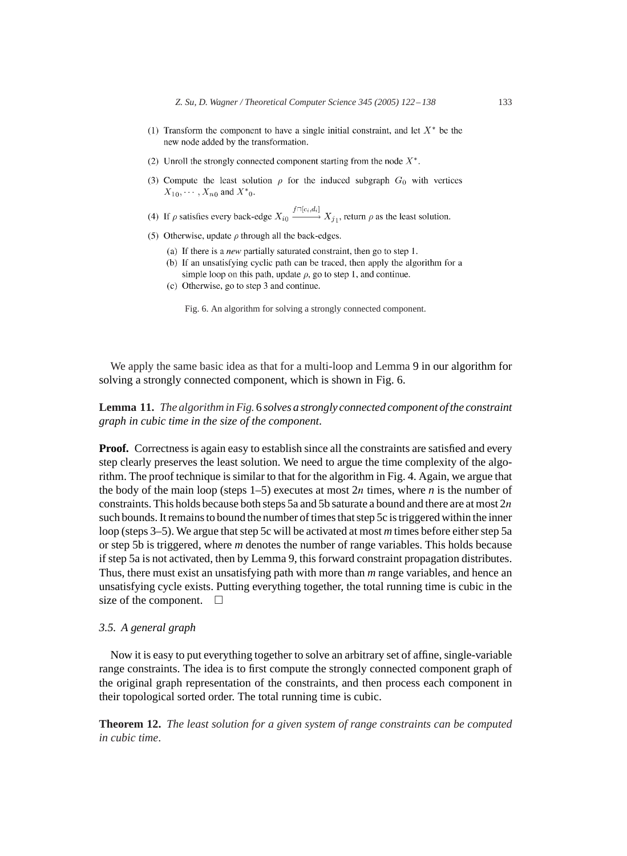- <span id="page-11-0"></span>(1) Transform the component to have a single initial constraint, and let  $X^*$  be the new node added by the transformation.
- (2) Unroll the strongly connected component starting from the node  $X^*$ .
- (3) Compute the least solution  $\rho$  for the induced subgraph  $G_0$  with vertices  $X_{10}, \cdots, X_{n0}$  and  $X^*_{0}$ .
- (4) If  $\rho$  satisfies every back-edge  $X_{i0} \xrightarrow{f \cap [c_i, d_i]} X_{j1}$ , return  $\rho$  as the least solution.
- (5) Otherwise, update  $\rho$  through all the back-edges.
	- (a) If there is a *new* partially saturated constraint, then go to step 1.
	- (b) If an unsatisfying cyclic path can be traced, then apply the algorithm for a simple loop on this path, update  $\rho$ , go to step 1, and continue.
	- (c) Otherwise, go to step 3 and continue.

Fig. 6. An algorithm for solving a strongly connected component.

We apply the same basic idea as that for a multi-loop and Lemma [9](#page-9-0) in our algorithm for solving a strongly connected component, which is shown in Fig. 6.

# **Lemma 11.** *The algorithm in Fig.* 6 *solves a strongly connected component of the constraint graph in cubic time in the size of the component*.

**Proof.** Correctness is again easy to establish since all the constraints are satisfied and every step clearly preserves the least solution. We need to argue the time complexity of the algorithm. The proof technique is similar to that for the algorithm in Fig. [4.](#page-8-0) Again, we argue that the body of the main loop (steps  $1-5$ ) executes at most  $2n$  times, where *n* is the number of constraints. This holds because both steps 5a and 5b saturate a bound and there are at most  $2n$ such bounds. It remains to bound the number of times that step 5c is triggered within the inner loop (steps 3–5). We argue that step 5c will be activated at most *m* times before either step 5a or step 5b is triggered, where *m* denotes the number of range variables. This holds because if step 5a is not activated, then by Lemma [9,](#page-9-0) this forward constraint propagation distributes. Thus, there must exist an unsatisfying path with more than *m* range variables, and hence an unsatisfying cycle exists. Putting everything together, the total running time is cubic in the size of the component.  $\square$ 

## *3.5. A general graph*

Now it is easy to put everything together to solve an arbitrary set of affine, single-variable range constraints. The idea is to first compute the strongly connected component graph of the original graph representation of the constraints, and then process each component in their topological sorted order. The total running time is cubic.

**Theorem 12.** *The least solution for a given system of range constraints can be computed in cubic time*.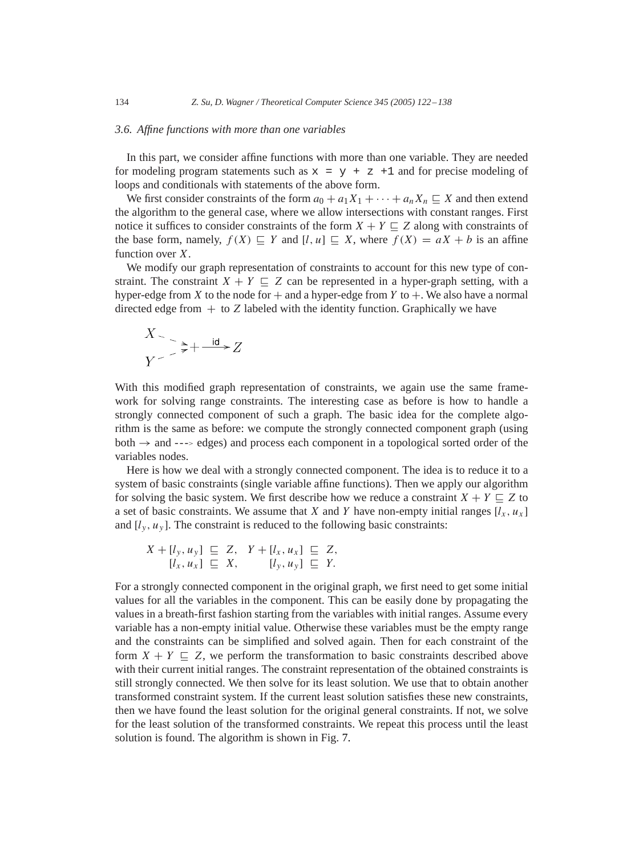#### *3.6. Affine functions with more than one variables*

In this part, we consider affine functions with more than one variable. They are needed for modeling program statements such as  $x = y + z + 1$  and for precise modeling of loops and conditionals with statements of the above form.

We first consider constraints of the form  $a_0 + a_1X_1 + \cdots + a_nX_n \subseteq X$  and then extend the algorithm to the general case, where we allow intersections with constant ranges. First notice it suffices to consider constraints of the form  $X + Y \subseteq Z$  along with constraints of the base form, namely,  $f(X) \subseteq Y$  and  $[l, u] \subseteq X$ , where  $f(X) = aX + b$  is an affine function over X.

We modify our graph representation of constraints to account for this new type of constraint. The constraint  $X + Y \subseteq Z$  can be represented in a hyper-graph setting, with a hyper-edge from X to the node for  $+$  and a hyper-edge from Y to  $+$ . We also have a normal directed edge from  $+$  to  $Z$  labeled with the identity function. Graphically we have

$$
X > \frac{1}{\epsilon} + \frac{1}{\epsilon} + \frac{1}{\epsilon}Z
$$

With this modified graph representation of constraints, we again use the same framework for solving range constraints. The interesting case as before is how to handle a strongly connected component of such a graph. The basic idea for the complete algorithm is the same as before: we compute the strongly connected component graph (using both  $\rightarrow$  and  $\rightarrow$  -- $\rightarrow$  edges) and process each component in a topological sorted order of the variables nodes.

Here is how we deal with a strongly connected component. The idea is to reduce it to a system of basic constraints (single variable affine functions). Then we apply our algorithm for solving the basic system. We first describe how we reduce a constraint  $X + Y \sqsubseteq Z$  to a set of basic constraints. We assume that X and Y have non-empty initial ranges  $[l_x, u_x]$ and  $[l_v, u_v]$ . The constraint is reduced to the following basic constraints:

$$
X + [l_y, u_y] \subseteq Z, \quad Y + [l_x, u_x] \subseteq Z, [l_x, u_x] \subseteq X, \quad [l_y, u_y] \subseteq Y.
$$

For a strongly connected component in the original graph, we first need to get some initial values for all the variables in the component. This can be easily done by propagating the values in a breath-first fashion starting from the variables with initial ranges. Assume every variable has a non-empty initial value. Otherwise these variables must be the empty range and the constraints can be simplified and solved again. Then for each constraint of the form  $X + Y \nightharpoonup Z$ , we perform the transformation to basic constraints described above with their current initial ranges. The constraint representation of the obtained constraints is still strongly connected. We then solve for its least solution. We use that to obtain another transformed constraint system. If the current least solution satisfies these new constraints, then we have found the least solution for the original general constraints. If not, we solve for the least solution of the transformed constraints. We repeat this process until the least solution is found. The algorithm is shown in Fig. [7.](#page-13-0)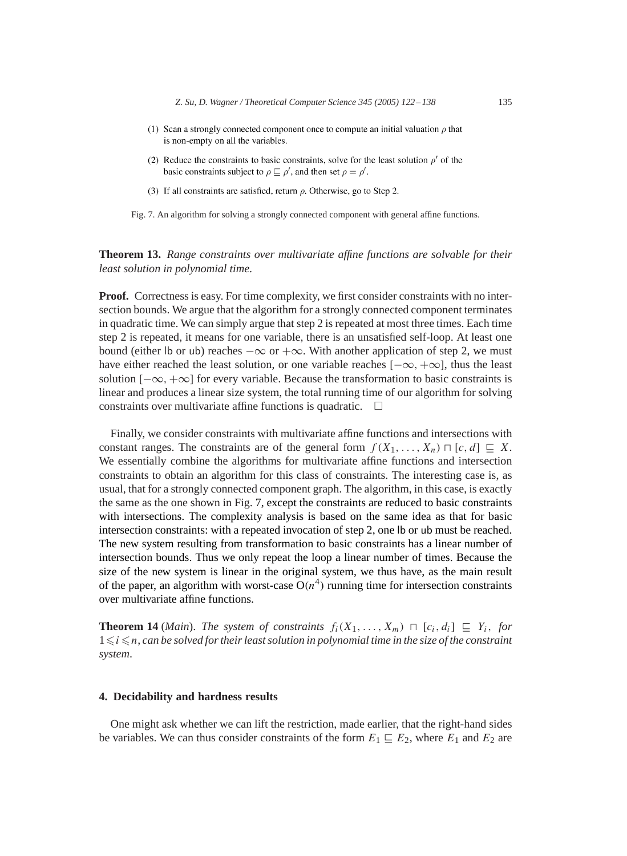- <span id="page-13-0"></span>(1) Scan a strongly connected component once to compute an initial valuation  $\rho$  that is non-empty on all the variables.
- (2) Reduce the constraints to basic constraints, solve for the least solution  $\rho'$  of the basic constraints subject to  $\rho \sqsubseteq \rho'$ , and then set  $\rho = \rho'$ .
- (3) If all constraints are satisfied, return  $\rho$ . Otherwise, go to Step 2.

Fig. 7. An algorithm for solving a strongly connected component with general affine functions.

**Theorem 13.** *Range constraints over multivariate affine functions are solvable for their least solution in polynomial time*.

**Proof.** Correctness is easy. For time complexity, we first consider constraints with no intersection bounds. We argue that the algorithm for a strongly connected component terminates in quadratic time. We can simply argue that step 2 is repeated at most three times. Each time step 2 is repeated, it means for one variable, there is an unsatisfied self-loop. At least one bound (either lb or ub) reaches  $-\infty$  or  $+\infty$ . With another application of step 2, we must have either reached the least solution, or one variable reaches  $[-\infty, +\infty]$ , thus the least solution  $[-\infty, +\infty]$  for every variable. Because the transformation to basic constraints is linear and produces a linear size system, the total running time of our algorithm for solving constraints over multivariate affine functions is quadratic.  $\Box$ 

Finally, we consider constraints with multivariate affine functions and intersections with constant ranges. The constraints are of the general form  $f(X_1,...,X_n) \sqcap [c, d] \sqsubseteq X$ . We essentially combine the algorithms for multivariate affine functions and intersection constraints to obtain an algorithm for this class of constraints. The interesting case is, as usual, that for a strongly connected component graph. The algorithm, in this case, is exactly the same as the one shown in Fig. 7, except the constraints are reduced to basic constraints with intersections. The complexity analysis is based on the same idea as that for basic intersection constraints: with a repeated invocation of step 2, one lb or ub must be reached. The new system resulting from transformation to basic constraints has a linear number of intersection bounds. Thus we only repeat the loop a linear number of times. Because the size of the new system is linear in the original system, we thus have, as the main result of the paper, an algorithm with worst-case  $O(n^4)$  running time for intersection constraints over multivariate affine functions.

**Theorem 14** (*Main*). *The system of constraints*  $f_i(X_1, \ldots, X_m) \sqcap [c_i, d_i] \sqsubseteq Y_i$ , *for*  $1 \leq i \leq n$ , can be solved for their least solution in polynomial time in the size of the constraint *system*.

## **4. Decidability and hardness results**

One might ask whether we can lift the restriction, made earlier, that the right-hand sides be variables. We can thus consider constraints of the form  $E_1 \subseteq E_2$ , where  $E_1$  and  $E_2$  are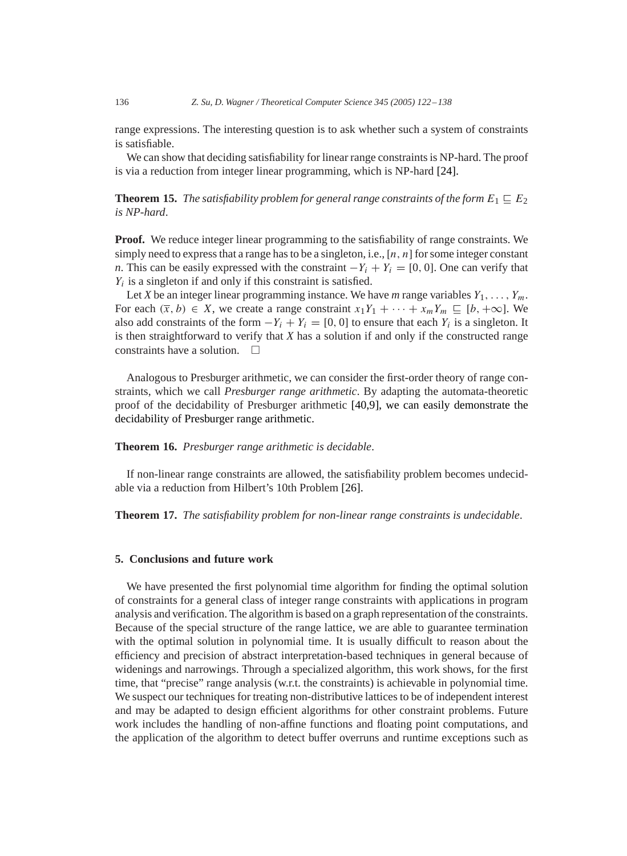range expressions. The interesting question is to ask whether such a system of constraints is satisfiable.

We can show that deciding satisfiability for linear range constraints is NP-hard. The proof is via a reduction from integer linear programming, which is NP-hard [\[24\].](#page-16-0)

**Theorem 15.** *The satisfiability problem for general range constraints of the form*  $E_1 \sqsubseteq E_2$ *is NP-hard*.

**Proof.** We reduce integer linear programming to the satisfiability of range constraints. We simply need to express that a range has to be a singleton, i.e.,  $[n, n]$  for some integer constant *n*. This can be easily expressed with the constraint  $-Y_i + Y_i = [0, 0]$ . One can verify that  $Y_i$  is a singleton if and only if this constraint is satisfied.

Let *X* be an integer linear programming instance. We have *m* range variables  $Y_1, \ldots, Y_m$ . For each  $(\bar{x}, b) \in X$ , we create a range constraint  $x_1Y_1 + \cdots + x_mY_m \sqsubseteq [b, +\infty]$ . We also add constraints of the form  $-Y_i + Y_i = [0, 0]$  to ensure that each  $Y_i$  is a singleton. It is then straightforward to verify that *X* has a solution if and only if the constructed range constraints have a solution.

Analogous to Presburger arithmetic, we can consider the first-order theory of range constraints, which we call *Presburger range arithmetic*. By adapting the automata-theoretic proof of the decidability of Presburger arithmetic [\[40](#page-16-0)[,9\],](#page-15-0) we can easily demonstrate the decidability of Presburger range arithmetic.

**Theorem 16.** *Presburger range arithmetic is decidable*.

If non-linear range constraints are allowed, the satisfiability problem becomes undecidable via a reduction from Hilbert's 10th Problem [\[26\].](#page-16-0)

**Theorem 17.** *The satisfiability problem for non-linear range constraints is undecidable*.

#### **5. Conclusions and future work**

We have presented the first polynomial time algorithm for finding the optimal solution of constraints for a general class of integer range constraints with applications in program analysis and verification. The algorithm is based on a graph representation of the constraints. Because of the special structure of the range lattice, we are able to guarantee termination with the optimal solution in polynomial time. It is usually difficult to reason about the efficiency and precision of abstract interpretation-based techniques in general because of widenings and narrowings. Through a specialized algorithm, this work shows, for the first time, that "precise" range analysis (w.r.t. the constraints) is achievable in polynomial time. We suspect our techniques for treating non-distributive lattices to be of independent interest and may be adapted to design efficient algorithms for other constraint problems. Future work includes the handling of non-affine functions and floating point computations, and the application of the algorithm to detect buffer overruns and runtime exceptions such as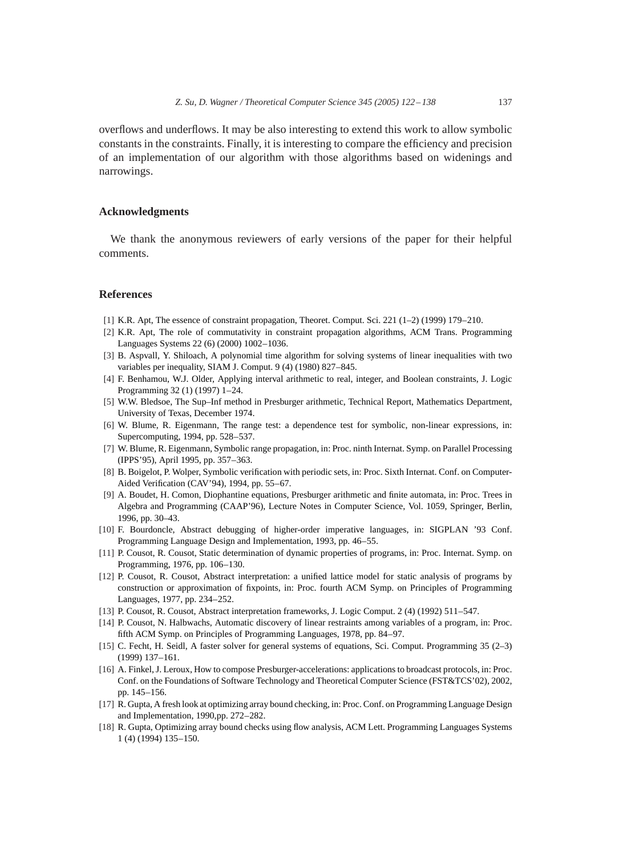<span id="page-15-0"></span>overflows and underflows. It may be also interesting to extend this work to allow symbolic constants in the constraints. Finally, it is interesting to compare the efficiency and precision of an implementation of our algorithm with those algorithms based on widenings and narrowings.

# **Acknowledgments**

We thank the anonymous reviewers of early versions of the paper for their helpful comments.

## **References**

- [1] K.R. Apt, The essence of constraint propagation, Theoret. Comput. Sci. 221 (1–2) (1999) 179–210.
- [2] K.R. Apt, The role of commutativity in constraint propagation algorithms, ACM Trans. Programming Languages Systems 22 (6) (2000) 1002–1036.
- [3] B. Aspvall, Y. Shiloach, A polynomial time algorithm for solving systems of linear inequalities with two variables per inequality, SIAM J. Comput. 9 (4) (1980) 827–845.
- [4] F. Benhamou, W.J. Older, Applying interval arithmetic to real, integer, and Boolean constraints, J. Logic Programming 32 (1) (1997) 1–24.
- [5] W.W. Bledsoe, The Sup–Inf method in Presburger arithmetic, Technical Report, Mathematics Department, University of Texas, December 1974.
- [6] W. Blume, R. Eigenmann, The range test: a dependence test for symbolic, non-linear expressions, in: Supercomputing, 1994, pp. 528–537.
- [7] W. Blume, R. Eigenmann, Symbolic range propagation, in: Proc. ninth Internat. Symp. on Parallel Processing (IPPS'95), April 1995, pp. 357–363.
- [8] B. Boigelot, P. Wolper, Symbolic verification with periodic sets, in: Proc. Sixth Internat. Conf. on Computer-Aided Verification (CAV'94), 1994, pp. 55–67.
- [9] A. Boudet, H. Comon, Diophantine equations, Presburger arithmetic and finite automata, in: Proc. Trees in Algebra and Programming (CAAP'96), Lecture Notes in Computer Science, Vol. 1059, Springer, Berlin, 1996, pp. 30–43.
- [10] F. Bourdoncle, Abstract debugging of higher-order imperative languages, in: SIGPLAN '93 Conf. Programming Language Design and Implementation, 1993, pp. 46–55.
- [11] P. Cousot, R. Cousot, Static determination of dynamic properties of programs, in: Proc. Internat. Symp. on Programming, 1976, pp. 106–130.
- [12] P. Cousot, R. Cousot, Abstract interpretation: a unified lattice model for static analysis of programs by construction or approximation of fixpoints, in: Proc. fourth ACM Symp. on Principles of Programming Languages, 1977, pp. 234–252.
- [13] P. Cousot, R. Cousot, Abstract interpretation frameworks, J. Logic Comput. 2 (4) (1992) 511–547.
- [14] P. Cousot, N. Halbwachs, Automatic discovery of linear restraints among variables of a program, in: Proc. fifth ACM Symp. on Principles of Programming Languages, 1978, pp. 84–97.
- [15] C. Fecht, H. Seidl, Afaster solver for general systems of equations, Sci. Comput. Programming 35 (2–3) (1999) 137–161.
- [16] A. Finkel, J. Leroux, How to compose Presburger-accelerations: applications to broadcast protocols, in: Proc. Conf. on the Foundations of Software Technology and Theoretical Computer Science (FST&TCS'02), 2002, pp. 145–156.
- [17] R. Gupta, Afresh look at optimizing array bound checking, in: Proc. Conf. on Programming Language Design and Implementation, 1990,pp. 272–282.
- [18] R. Gupta, Optimizing array bound checks using flow analysis, ACM Lett. Programming Languages Systems 1 (4) (1994) 135–150.